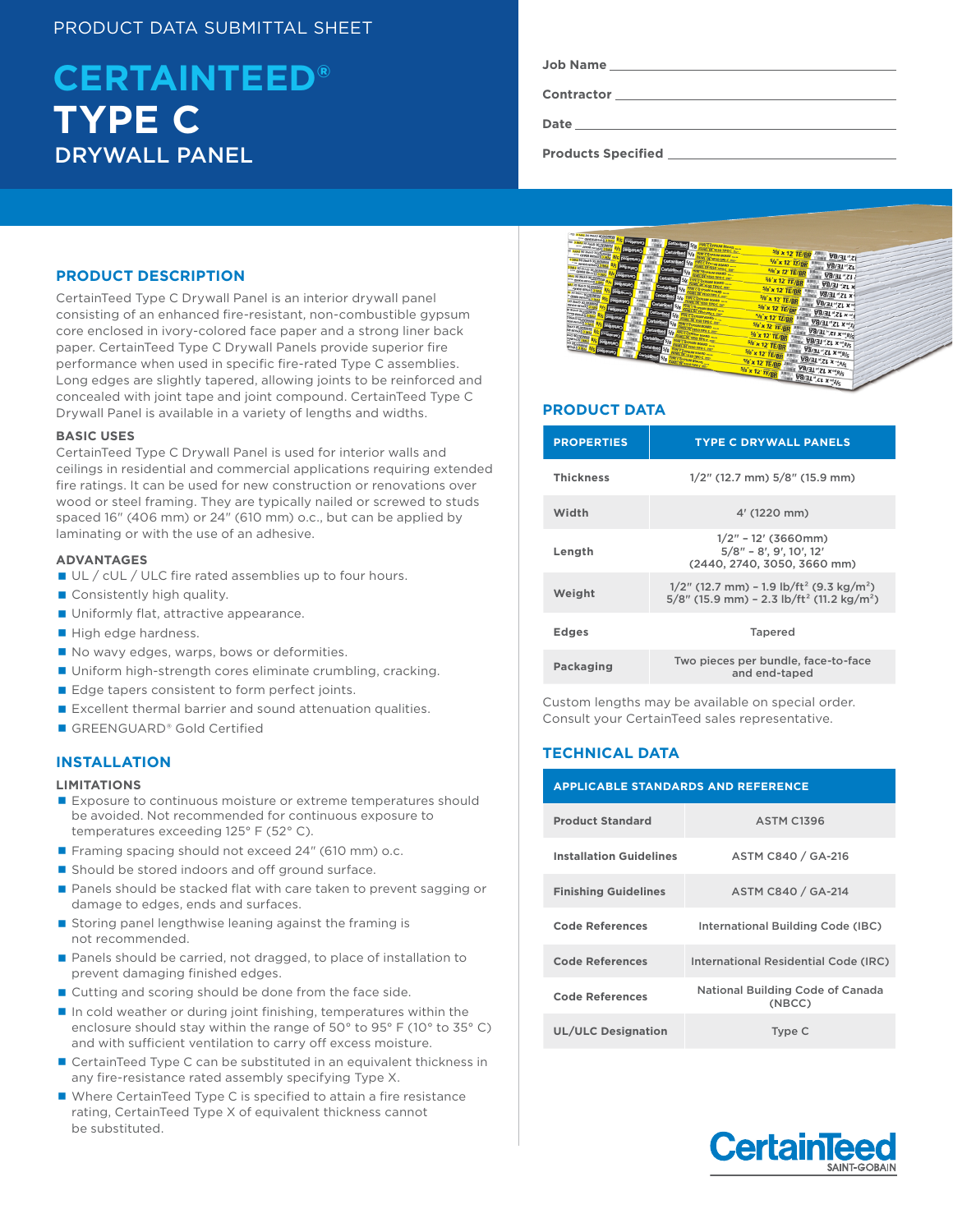# PRODUCT DATA SUBMITTAL SHEET

# DRYWALL PANEL **TYPE C CERTAINTEED®**

## **PRODUCT DESCRIPTION**

CertainTeed Type C Drywall Panel is an interior drywall panel consisting of an enhanced fire-resistant, non-combustible gypsum core enclosed in ivory-colored face paper and a strong liner back paper. CertainTeed Type C Drywall Panels provide superior fire performance when used in specific fire-rated Type C assemblies. Long edges are slightly tapered, allowing joints to be reinforced and concealed with joint tape and joint compound. CertainTeed Type C Drywall Panel is available in a variety of lengths and widths.

## **BASIC USES**

CertainTeed Type C Drywall Panel is used for interior walls and ceilings in residential and commercial applications requiring extended fire ratings. It can be used for new construction or renovations over wood or steel framing. They are typically nailed or screwed to studs spaced 16" (406 mm) or 24" (610 mm) o.c., but can be applied by laminating or with the use of an adhesive.

## **ADVANTAGES**

- UL / cUL / ULC fire rated assemblies up to four hours.
- Consistently high quality.
- **Uniformly flat, attractive appearance.**
- High edge hardness.
- No wavy edges, warps, bows or deformities.
- Uniform high-strength cores eliminate crumbling, cracking.
- Edge tapers consistent to form perfect joints.
- Excellent thermal barrier and sound attenuation qualities.
- GREENGUARD® Gold Certified

## **INSTALLATION**

#### **LIMITATIONS**

- Exposure to continuous moisture or extreme temperatures should be avoided. Not recommended for continuous exposure to temperatures exceeding 125° F (52° C).
- Framing spacing should not exceed 24" (610 mm) o.c.
- Should be stored indoors and off ground surface.
- **Panels should be stacked flat with care taken to prevent sagging or** damage to edges, ends and surfaces.
- Storing panel lengthwise leaning against the framing is not recommended.
- Panels should be carried, not dragged, to place of installation to prevent damaging finished edges.
- Cutting and scoring should be done from the face side.
- $\blacksquare$  In cold weather or during joint finishing, temperatures within the enclosure should stay within the range of 50° to 95° F (10° to 35° C) and with sufficient ventilation to carry off excess moisture.
- CertainTeed Type C can be substituted in an equivalent thickness in any fire-resistance rated assembly specifying Type X.
- Where CertainTeed Type C is specified to attain a fire resistance rating, CertainTeed Type X of equivalent thickness cannot be substituted.

|  | Job Name |
|--|----------|
|--|----------|

**Contractor**

**Date**

**Products Specified** 



## **PRODUCT DATA**

| <b>PROPERTIES</b> | <b>TYPE C DRYWALL PANELS</b>                                                                                                                |  |
|-------------------|---------------------------------------------------------------------------------------------------------------------------------------------|--|
| <b>Thickness</b>  | $1/2$ " (12.7 mm) $5/8$ " (15.9 mm)                                                                                                         |  |
| Width             | 4' (1220 mm)                                                                                                                                |  |
| Length            | $1/2"$ - 12' (3660mm)<br>$5/8" - 8'$ , 9', 10', 12'<br>(2440, 2740, 3050, 3660 mm)                                                          |  |
| Weight            | $1/2$ " (12.7 mm) – 1.9 lb/ft <sup>2</sup> (9.3 kg/m <sup>2</sup> )<br>$5/8$ " (15.9 mm) - 2.3 lb/ft <sup>2</sup> (11.2 kg/m <sup>2</sup> ) |  |
| <b>Edges</b>      | <b>Tapered</b>                                                                                                                              |  |
| Packaging         | Two pieces per bundle, face-to-face<br>and end-taped                                                                                        |  |

Custom lengths may be available on special order. Consult your CertainTeed sales representative.

## **TECHNICAL DATA**

| <b>APPLICABLE STANDARDS AND REFERENCE</b> |                                            |  |  |  |
|-------------------------------------------|--------------------------------------------|--|--|--|
| <b>Product Standard</b>                   | <b>ASTM C1396</b>                          |  |  |  |
| <b>Installation Guidelines</b>            | ASTM C840 / GA-216                         |  |  |  |
| <b>Finishing Guidelines</b>               | ASTM C840 / GA-214                         |  |  |  |
| <b>Code References</b>                    | International Building Code (IBC)          |  |  |  |
| <b>Code References</b>                    | International Residential Code (IRC)       |  |  |  |
| <b>Code References</b>                    | National Building Code of Canada<br>(NBCC) |  |  |  |
| <b>UL/ULC Designation</b>                 | Type C                                     |  |  |  |